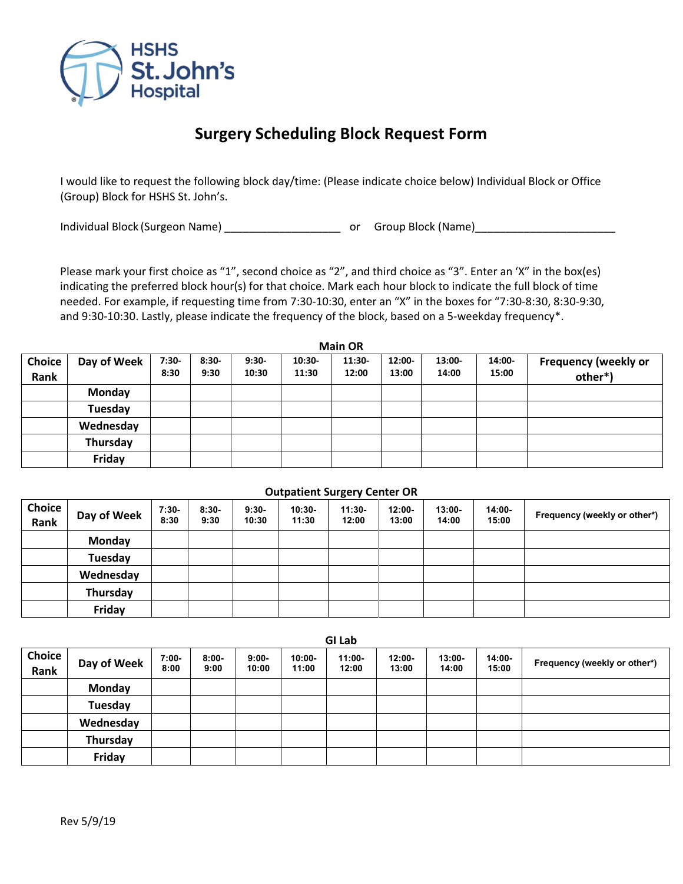

## **Surgery Scheduling Block Request Form**

I would like to request the following block day/time: (Please indicate choice below) Individual Block or Office (Group) Block for HSHS St. John's.

Individual Block (Surgeon Name) \_\_\_\_\_\_\_\_\_\_\_\_\_\_\_\_\_\_\_\_\_\_\_\_\_\_\_ or Group Block (Name) \_\_\_\_\_\_\_\_\_\_\_\_\_\_\_\_\_\_\_\_\_\_\_\_\_\_\_

Please mark your first choice as "1", second choice as "2", and third choice as "3". Enter an 'X" in the box(es) indicating the preferred block hour(s) for that choice. Mark each hour block to indicate the full block of time needed. For example, if requesting time from 7:30-10:30, enter an "X" in the boxes for "7:30-8:30, 8:30-9:30, and 9:30-10:30. Lastly, please indicate the frequency of the block, based on a 5-weekday frequency\*.

| <b>Main OR</b>        |               |                 |                 |                  |                 |                   |                 |                 |                 |                                        |
|-----------------------|---------------|-----------------|-----------------|------------------|-----------------|-------------------|-----------------|-----------------|-----------------|----------------------------------------|
| <b>Choice</b><br>Rank | Day of Week   | $7:30-$<br>8:30 | $8:30-$<br>9:30 | $9:30-$<br>10:30 | 10:30-<br>11:30 | $11:30-$<br>12:00 | 12:00-<br>13:00 | 13:00-<br>14:00 | 14:00-<br>15:00 | <b>Frequency (weekly or</b><br>other*) |
|                       | <b>Monday</b> |                 |                 |                  |                 |                   |                 |                 |                 |                                        |
|                       | Tuesday       |                 |                 |                  |                 |                   |                 |                 |                 |                                        |
|                       | Wednesday     |                 |                 |                  |                 |                   |                 |                 |                 |                                        |
|                       | Thursday      |                 |                 |                  |                 |                   |                 |                 |                 |                                        |
|                       | Friday        |                 |                 |                  |                 |                   |                 |                 |                 |                                        |

## **Outpatient Surgery Center OR**

| Choice<br>Rank | Day of Week | $7:30-$<br>8:30 | $8:30-$<br>9:30 | $9:30-$<br>10:30 | $10:30-$<br>11:30 | $11:30-$<br>12:00 | $12:00 -$<br>13:00 | $13:00 -$<br>14:00 | 14:00-<br>15:00 | Frequency (weekly or other*) |
|----------------|-------------|-----------------|-----------------|------------------|-------------------|-------------------|--------------------|--------------------|-----------------|------------------------------|
|                | Monday      |                 |                 |                  |                   |                   |                    |                    |                 |                              |
|                | Tuesday     |                 |                 |                  |                   |                   |                    |                    |                 |                              |
|                | Wednesday   |                 |                 |                  |                   |                   |                    |                    |                 |                              |
|                | Thursday    |                 |                 |                  |                   |                   |                    |                    |                 |                              |
|                | Friday      |                 |                 |                  |                   |                   |                    |                    |                 |                              |

|                |             |                 |                  |                  |                    | <b>GI Lab</b>      |                    |                    |                 |                              |
|----------------|-------------|-----------------|------------------|------------------|--------------------|--------------------|--------------------|--------------------|-----------------|------------------------------|
| Choice<br>Rank | Day of Week | $7:00-$<br>8:00 | $8:00 -$<br>9:00 | $9:00-$<br>10:00 | $10:00 -$<br>11:00 | $11:00 -$<br>12:00 | $12:00 -$<br>13:00 | $13:00 -$<br>14:00 | 14:00-<br>15:00 | Frequency (weekly or other*) |
|                | Monday      |                 |                  |                  |                    |                    |                    |                    |                 |                              |
|                | Tuesday     |                 |                  |                  |                    |                    |                    |                    |                 |                              |
|                | Wednesday   |                 |                  |                  |                    |                    |                    |                    |                 |                              |
|                | Thursday    |                 |                  |                  |                    |                    |                    |                    |                 |                              |
|                | Friday      |                 |                  |                  |                    |                    |                    |                    |                 |                              |